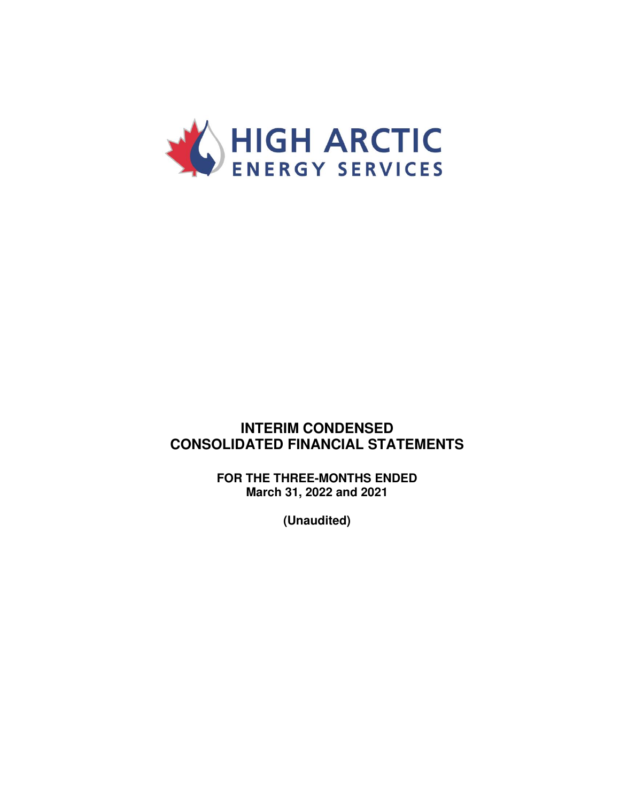

### **INTERIM CONDENSED CONSOLIDATED FINANCIAL STATEMENTS**

**FOR THE THREE-MONTHS ENDED March 31, 2022 and 2021** 

**(Unaudited)**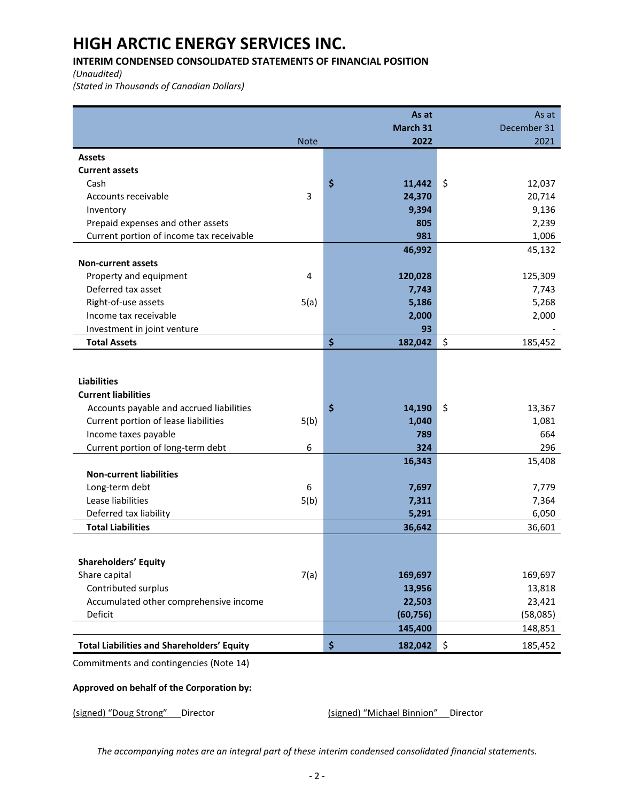### **INTERIM CONDENSED CONSOLIDATED STATEMENTS OF FINANCIAL POSITION**

*(Unaudited)* 

*(Stated in Thousands of Canadian Dollars)* 

|                                                   |             | As at         |                     | As at       |
|---------------------------------------------------|-------------|---------------|---------------------|-------------|
|                                                   |             | March 31      |                     | December 31 |
|                                                   | <b>Note</b> | 2022          |                     | 2021        |
| <b>Assets</b>                                     |             |               |                     |             |
| <b>Current assets</b>                             |             |               |                     |             |
| Cash                                              |             | \$<br>11,442  | $\ddot{\mathsf{S}}$ | 12,037      |
| Accounts receivable                               | 3           | 24,370        |                     | 20,714      |
| Inventory                                         |             | 9,394         |                     | 9,136       |
| Prepaid expenses and other assets                 |             | 805           |                     | 2,239       |
| Current portion of income tax receivable          |             | 981           |                     | 1,006       |
|                                                   |             | 46,992        |                     | 45,132      |
| <b>Non-current assets</b>                         |             |               |                     |             |
| Property and equipment                            | 4           | 120,028       |                     | 125,309     |
| Deferred tax asset                                |             | 7,743         |                     | 7,743       |
| Right-of-use assets                               | 5(a)        | 5,186         |                     | 5,268       |
| Income tax receivable                             |             | 2,000         |                     | 2,000       |
| Investment in joint venture                       |             | 93            |                     |             |
| <b>Total Assets</b>                               |             | \$<br>182,042 | \$                  | 185,452     |
|                                                   |             |               |                     |             |
|                                                   |             |               |                     |             |
| <b>Liabilities</b>                                |             |               |                     |             |
| <b>Current liabilities</b>                        |             |               |                     |             |
| Accounts payable and accrued liabilities          |             | \$<br>14,190  | \$                  | 13,367      |
| Current portion of lease liabilities              | 5(b)        | 1,040         |                     | 1,081       |
| Income taxes payable                              |             | 789           |                     | 664         |
| Current portion of long-term debt                 | 6           | 324           |                     | 296         |
|                                                   |             | 16,343        |                     | 15,408      |
| <b>Non-current liabilities</b>                    |             |               |                     |             |
| Long-term debt                                    | 6           | 7,697         |                     | 7,779       |
| Lease liabilities                                 | 5(b)        | 7,311         |                     | 7,364       |
| Deferred tax liability                            |             | 5,291         |                     | 6,050       |
| <b>Total Liabilities</b>                          |             | 36,642        |                     | 36,601      |
|                                                   |             |               |                     |             |
| <b>Shareholders' Equity</b>                       |             |               |                     |             |
| Share capital                                     | 7(a)        | 169,697       |                     | 169,697     |
| Contributed surplus                               |             | 13,956        |                     | 13,818      |
| Accumulated other comprehensive income            |             | 22,503        |                     | 23,421      |
| Deficit                                           |             | (60, 756)     |                     | (58,085)    |
|                                                   |             | 145,400       |                     | 148,851     |
| <b>Total Liabilities and Shareholders' Equity</b> |             | \$<br>182,042 | $\ddot{\phi}$       | 185,452     |

Commitments and contingencies (Note 14)

#### **Approved on behalf of the Corporation by:**

(signed) "Doug Strong" Director (signed) "Michael Binnion" Director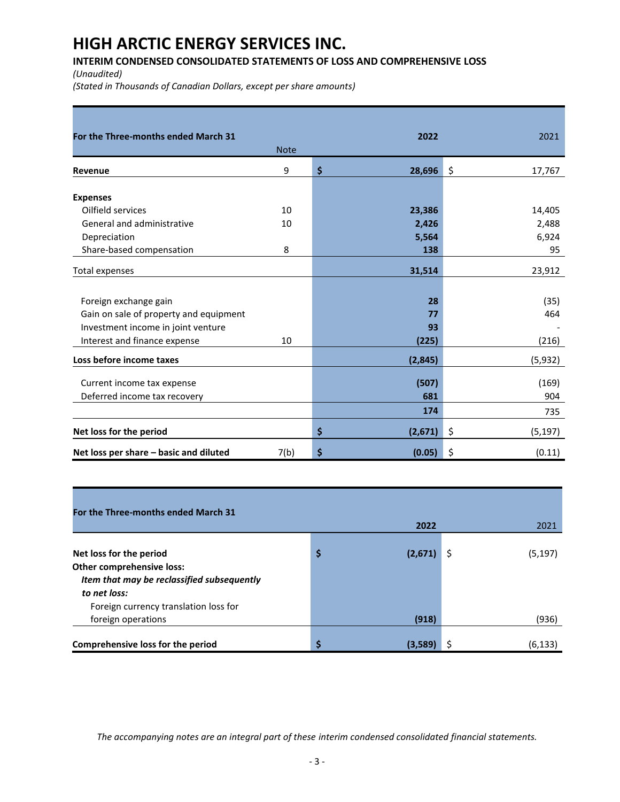### **INTERIM CONDENSED CONSOLIDATED STATEMENTS OF LOSS AND COMPREHENSIVE LOSS**

*(Unaudited)* 

*(Stated in Thousands of Canadian Dollars, except per share amounts)*

| For the Three-months ended March 31    |             | 2022          | 2021           |
|----------------------------------------|-------------|---------------|----------------|
|                                        | <b>Note</b> |               |                |
| Revenue                                | 9           | \$<br>28,696  | \$<br>17,767   |
| <b>Expenses</b>                        |             |               |                |
| Oilfield services                      | 10          | 23,386        | 14,405         |
| General and administrative             | 10          | 2,426         | 2,488          |
| Depreciation                           |             | 5,564         | 6,924          |
| Share-based compensation               | 8           | 138           | 95             |
| <b>Total expenses</b>                  |             | 31,514        | 23,912         |
|                                        |             |               |                |
| Foreign exchange gain                  |             | 28            | (35)           |
| Gain on sale of property and equipment |             | 77            | 464            |
| Investment income in joint venture     |             | 93            |                |
| Interest and finance expense           | 10          | (225)         | (216)          |
| Loss before income taxes               |             | (2,845)       | (5,932)        |
| Current income tax expense             |             | (507)         | (169)          |
| Deferred income tax recovery           |             | 681           | 904            |
|                                        |             | 174           |                |
|                                        |             |               | 735            |
| Net loss for the period                |             | \$<br>(2,671) | \$<br>(5, 197) |
| Net loss per share - basic and diluted | 7(b)        | \$<br>(0.05)  | \$<br>(0.11)   |

| For the Three-months ended March 31                  |               |   |          |
|------------------------------------------------------|---------------|---|----------|
|                                                      | 2022          |   | 2021     |
| Net loss for the period<br>Other comprehensive loss: | \$<br>(2,671) | Ş | (5, 197) |
|                                                      |               |   |          |
| Item that may be reclassified subsequently           |               |   |          |
| to net loss:                                         |               |   |          |
| Foreign currency translation loss for                |               |   |          |
| foreign operations                                   | (918)         |   | (936)    |
|                                                      |               |   |          |
| Comprehensive loss for the period                    | \$<br>(3,589) |   | (6, 133) |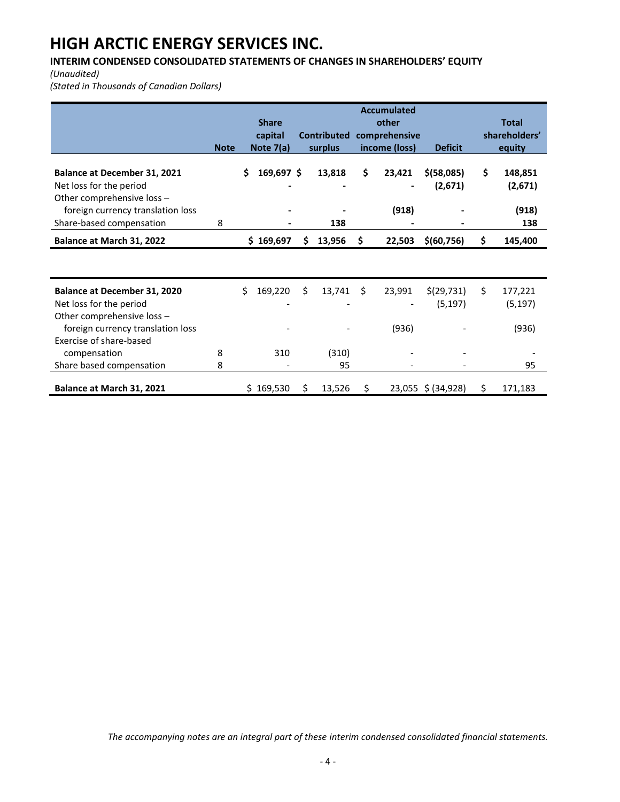### **INTERIM CONDENSED CONSOLIDATED STATEMENTS OF CHANGES IN SHAREHOLDERS' EQUITY**

*(Unaudited)* 

*(Stated in Thousands of Canadian Dollars)* 

|                                     | <b>Accumulated</b> |                  |    |                    |    |               |                    |    |               |  |  |
|-------------------------------------|--------------------|------------------|----|--------------------|----|---------------|--------------------|----|---------------|--|--|
|                                     |                    | <b>Share</b>     |    |                    |    | other         |                    |    | <b>Total</b>  |  |  |
|                                     |                    | capital          |    | <b>Contributed</b> |    | comprehensive |                    |    | shareholders' |  |  |
|                                     | <b>Note</b>        | Note 7(a)        |    | surplus            |    | income (loss) | <b>Deficit</b>     |    | equity        |  |  |
|                                     |                    |                  |    |                    |    |               |                    |    |               |  |  |
| <b>Balance at December 31, 2021</b> |                    | 169,697 \$<br>\$ |    | 13,818             | \$ | 23,421        | $$$ (58,085)       | Ś. | 148,851       |  |  |
| Net loss for the period             |                    |                  |    |                    |    |               | (2,671)            |    | (2,671)       |  |  |
| Other comprehensive loss -          |                    |                  |    |                    |    |               |                    |    |               |  |  |
| foreign currency translation loss   |                    |                  |    |                    |    | (918)         |                    |    | (918)         |  |  |
| Share-based compensation            | 8                  |                  |    | 138                |    |               |                    |    | 138           |  |  |
| Balance at March 31, 2022           |                    | \$169,697        | S  | 13,956             | S  | 22,503        | \$(60,756)         | Ś. | 145,400       |  |  |
|                                     |                    |                  |    |                    |    |               |                    |    |               |  |  |
|                                     |                    |                  |    |                    |    |               |                    |    |               |  |  |
| <b>Balance at December 31, 2020</b> |                    | Ś.<br>169,220    | \$ | 13,741             | Ŝ. | 23,991        | \$(29, 731)        | \$ | 177,221       |  |  |
| Net loss for the period             |                    |                  |    |                    |    |               | (5, 197)           |    | (5, 197)      |  |  |
| Other comprehensive loss -          |                    |                  |    |                    |    |               |                    |    |               |  |  |
| foreign currency translation loss   |                    |                  |    |                    |    | (936)         |                    |    | (936)         |  |  |
| Exercise of share-based             |                    |                  |    |                    |    |               |                    |    |               |  |  |
| compensation                        | 8                  | 310              |    | (310)              |    |               |                    |    |               |  |  |
| Share based compensation            | 8                  |                  |    | 95                 |    |               |                    |    | 95            |  |  |
|                                     |                    |                  |    |                    |    |               |                    | \$ |               |  |  |
| Balance at March 31, 2021           |                    | \$169,530        | \$ | 13,526             | S  |               | 23,055 \$ (34,928) |    | 171,183       |  |  |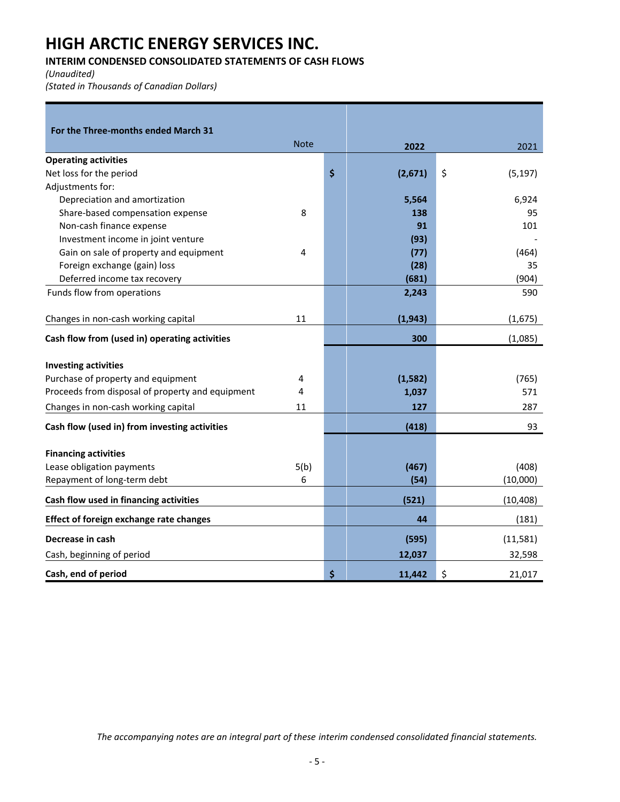### **INTERIM CONDENSED CONSOLIDATED STATEMENTS OF CASH FLOWS**

*(Unaudited)* 

*(Stated in Thousands of Canadian Dollars)* 

| For the Three-months ended March 31                      |             |               |                |
|----------------------------------------------------------|-------------|---------------|----------------|
|                                                          | <b>Note</b> | 2022          | 2021           |
| <b>Operating activities</b>                              |             |               |                |
| Net loss for the period                                  |             | \$<br>(2,671) | \$<br>(5, 197) |
| Adjustments for:                                         |             |               |                |
| Depreciation and amortization                            |             | 5,564         | 6,924          |
| Share-based compensation expense                         | 8           | 138           | 95             |
| Non-cash finance expense                                 |             | 91            | 101            |
| Investment income in joint venture                       |             | (93)          |                |
| Gain on sale of property and equipment                   | 4           | (77)          | (464)          |
| Foreign exchange (gain) loss                             |             | (28)          | 35             |
| Deferred income tax recovery                             |             | (681)         | (904)          |
| Funds flow from operations                               |             | 2,243         | 590            |
|                                                          |             |               |                |
| Changes in non-cash working capital                      | 11          | (1, 943)      | (1,675)        |
| Cash flow from (used in) operating activities            |             | 300           | (1,085)        |
|                                                          |             |               |                |
| <b>Investing activities</b>                              |             |               |                |
| Purchase of property and equipment                       | 4           | (1, 582)      | (765)          |
| Proceeds from disposal of property and equipment         | 4           | 1,037         | 571            |
| Changes in non-cash working capital                      | 11          | 127           | 287            |
| Cash flow (used in) from investing activities            |             | (418)         | 93             |
|                                                          |             |               |                |
| <b>Financing activities</b><br>Lease obligation payments | 5(b)        | (467)         | (408)          |
|                                                          |             |               |                |
| Repayment of long-term debt                              | 6           | (54)          | (10,000)       |
| Cash flow used in financing activities                   |             | (521)         | (10, 408)      |
| <b>Effect of foreign exchange rate changes</b>           |             | 44            | (181)          |
| Decrease in cash                                         |             | (595)         | (11, 581)      |
| Cash, beginning of period                                |             | 12,037        | 32,598         |
| Cash, end of period                                      |             | \$<br>11.442  | \$<br>21,017   |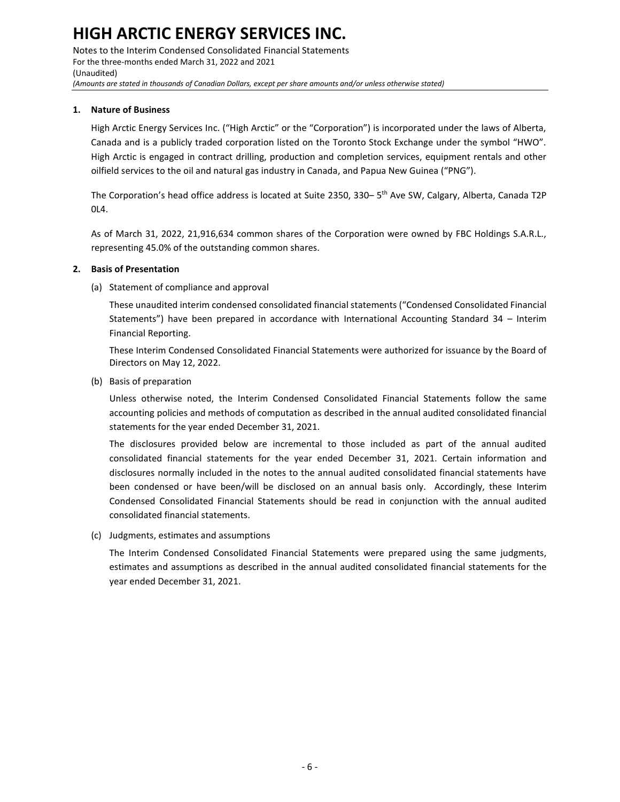Notes to the Interim Condensed Consolidated Financial Statements For the three-months ended March 31, 2022 and 2021 (Unaudited) *(Amounts are stated in thousands of Canadian Dollars, except per share amounts and/or unless otherwise stated)*

#### **1. Nature of Business**

High Arctic Energy Services Inc. ("High Arctic" or the "Corporation") is incorporated under the laws of Alberta, Canada and is a publicly traded corporation listed on the Toronto Stock Exchange under the symbol "HWO". High Arctic is engaged in contract drilling, production and completion services, equipment rentals and other oilfield services to the oil and natural gas industry in Canada, and Papua New Guinea ("PNG").

The Corporation's head office address is located at Suite 2350, 330– 5<sup>th</sup> Ave SW, Calgary, Alberta, Canada T2P 0L4.

As of March 31, 2022, 21,916,634 common shares of the Corporation were owned by FBC Holdings S.A.R.L., representing 45.0% of the outstanding common shares.

#### **2. Basis of Presentation**

(a) Statement of compliance and approval

These unaudited interim condensed consolidated financial statements ("Condensed Consolidated Financial Statements") have been prepared in accordance with International Accounting Standard 34 – Interim Financial Reporting.

These Interim Condensed Consolidated Financial Statements were authorized for issuance by the Board of Directors on May 12, 2022.

(b) Basis of preparation

Unless otherwise noted, the Interim Condensed Consolidated Financial Statements follow the same accounting policies and methods of computation as described in the annual audited consolidated financial statements for the year ended December 31, 2021.

The disclosures provided below are incremental to those included as part of the annual audited consolidated financial statements for the year ended December 31, 2021. Certain information and disclosures normally included in the notes to the annual audited consolidated financial statements have been condensed or have been/will be disclosed on an annual basis only. Accordingly, these Interim Condensed Consolidated Financial Statements should be read in conjunction with the annual audited consolidated financial statements.

(c) Judgments, estimates and assumptions

The Interim Condensed Consolidated Financial Statements were prepared using the same judgments, estimates and assumptions as described in the annual audited consolidated financial statements for the year ended December 31, 2021.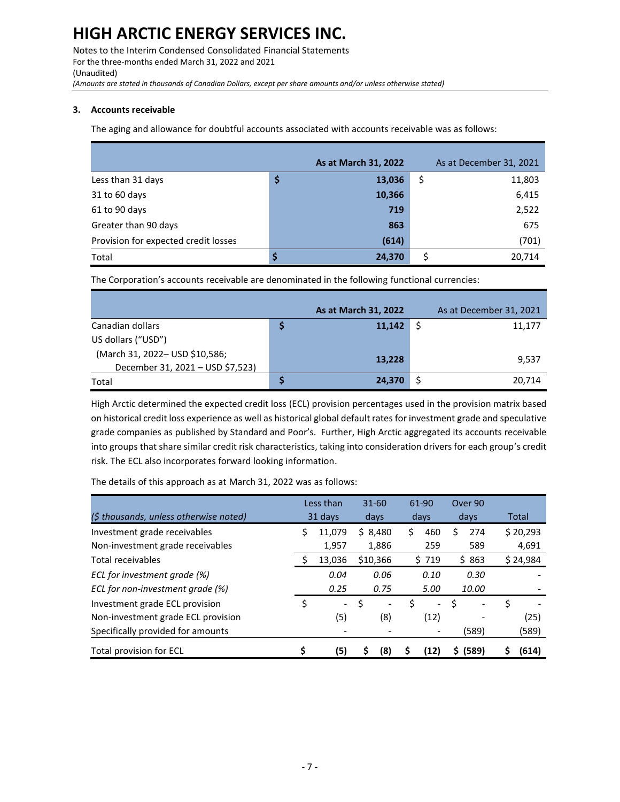Notes to the Interim Condensed Consolidated Financial Statements For the three-months ended March 31, 2022 and 2021 (Unaudited) *(Amounts are stated in thousands of Canadian Dollars, except per share amounts and/or unless otherwise stated)*

#### **3. Accounts receivable**

The aging and allowance for doubtful accounts associated with accounts receivable was as follows:

|                                      | As at March 31, 2022 | As at December 31, 2021 |
|--------------------------------------|----------------------|-------------------------|
| Less than 31 days                    | \$<br>13,036         | \$<br>11,803            |
| 31 to 60 days                        | 10,366               | 6,415                   |
| 61 to 90 days                        | 719                  | 2,522                   |
| Greater than 90 days                 | 863                  | 675                     |
| Provision for expected credit losses | (614)                | (701)                   |
| Total                                | \$<br>24,370         | 20.714                  |

The Corporation's accounts receivable are denominated in the following functional currencies:

|                                  | As at March 31, 2022 | As at December 31, 2021 |
|----------------------------------|----------------------|-------------------------|
| Canadian dollars                 | 11,142               | 11,177                  |
| US dollars ("USD")               |                      |                         |
| (March 31, 2022- USD \$10,586;   | 13,228               | 9,537                   |
| December 31, 2021 - USD \$7,523) |                      |                         |
| Total                            | 24,370               | 20,714                  |

High Arctic determined the expected credit loss (ECL) provision percentages used in the provision matrix based on historical credit loss experience as well as historical global default rates for investment grade and speculative grade companies as published by Standard and Poor's. Further, High Arctic aggregated its accounts receivable into groups that share similar credit risk characteristics, taking into consideration drivers for each group's credit risk. The ECL also incorporates forward looking information.

The details of this approach as at March 31, 2022 was as follows:

|                                        |    | Less than                |    | $31 - 60$ | 61-90                          |    | Over 90 |          |
|----------------------------------------|----|--------------------------|----|-----------|--------------------------------|----|---------|----------|
| (\$ thousands, unless otherwise noted) |    | 31 days                  |    | days      | days                           |    | days    | Total    |
| Investment grade receivables           | S  | 11,079                   |    | \$8,480   | \$<br>460                      |    | 274     | \$20,293 |
| Non-investment grade receivables       |    | 1,957                    |    | 1,886     | 259                            |    | 589     | 4,691    |
| Total receivables                      |    | 13,036                   |    | \$10,366  | \$719                          |    | \$863   | \$24,984 |
| ECL for investment grade (%)           |    | 0.04                     |    | 0.06      | 0.10                           |    | 0.30    |          |
| ECL for non-investment grade (%)       |    | 0.25                     |    | 0.75      | 5.00                           |    | 10.00   |          |
| Investment grade ECL provision         | \$ | $\overline{\phantom{a}}$ | \$ |           | \$<br>$\overline{\phantom{a}}$ | Ś  |         | \$       |
| Non-investment grade ECL provision     |    | (5)                      |    | (8)       | (12)                           |    |         | (25)     |
| Specifically provided for amounts      |    |                          |    |           |                                |    | (589)   | (589)    |
| Total provision for ECL                | \$ | (5)                      | S  | (8)       | (12)                           | S. | (589)   | (614)    |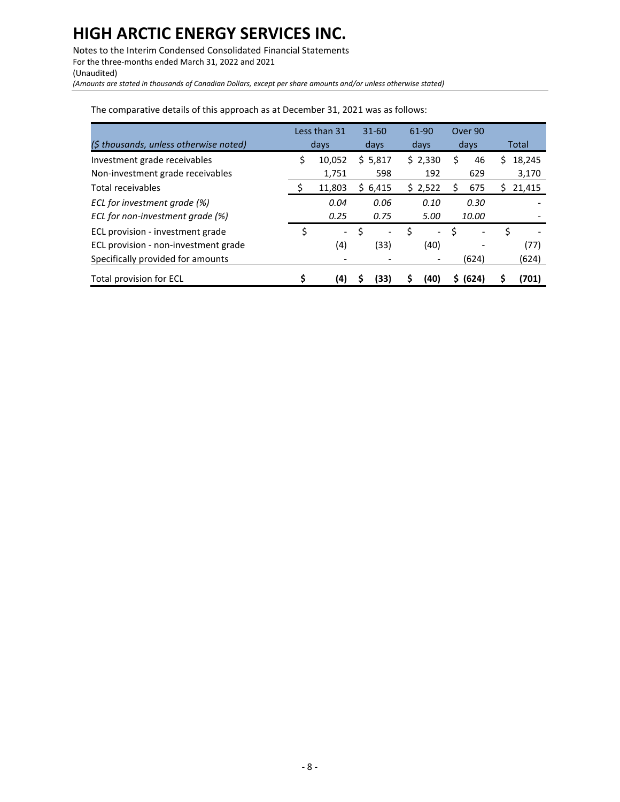Notes to the Interim Condensed Consolidated Financial Statements For the three-months ended March 31, 2022 and 2021 (Unaudited)

*(Amounts are stated in thousands of Canadian Dollars, except per share amounts and/or unless otherwise stated)*

|                                        | Less than 31 |                          |    | $31 - 60$ | 61-90 |               | Over 90 |       |    |        |
|----------------------------------------|--------------|--------------------------|----|-----------|-------|---------------|---------|-------|----|--------|
| (\$ thousands, unless otherwise noted) |              | days                     |    | days      |       | days          |         | days  |    | Total  |
| Investment grade receivables           | \$           | 10,052                   |    | \$5,817   |       | \$2,330       | Ś       | 46    | S  | 18,245 |
| Non-investment grade receivables       |              | 1,751                    |    | 598       |       | 192           |         | 629   |    | 3,170  |
| Total receivables                      | Ş            | 11,803                   | S. | 6,415     |       | \$2,522       |         | 675   | S  | 21,415 |
| ECL for investment grade (%)           |              | 0.04                     |    | 0.06      |       | 0.10          |         | 0.30  |    |        |
| ECL for non-investment grade (%)       |              | 0.25                     |    | 0.75      |       | 5.00          |         | 10.00 |    |        |
| ECL provision - investment grade       | \$           | $\overline{\phantom{0}}$ | \$ |           | \$    | $\frac{1}{2}$ | Ś       |       | \$ |        |
| ECL provision - non-investment grade   |              | (4)                      |    | (33)      |       | (40)          |         |       |    | (77)   |
| Specifically provided for amounts      |              |                          |    |           |       |               |         | (624) |    | (624)  |
| <b>Total provision for ECL</b>         |              | (4)                      |    | (33)      |       | (40)          | S.      | (624) |    | 701)   |

The comparative details of this approach as at December 31, 2021 was as follows: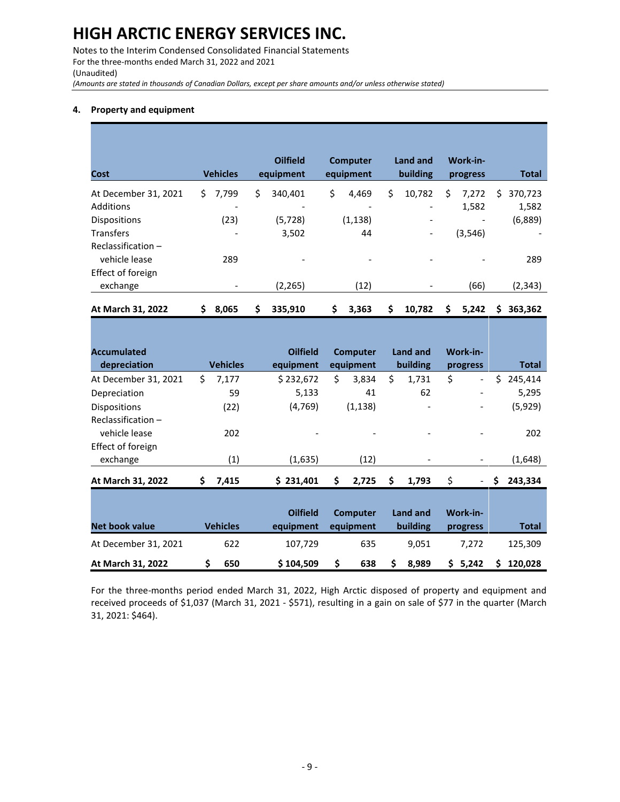Notes to the Interim Condensed Consolidated Financial Statements For the three-months ended March 31, 2022 and 2021 (Unaudited)

*(Amounts are stated in thousands of Canadian Dollars, except per share amounts and/or unless otherwise stated)*

#### **4. Property and equipment**

| Cost                 |     | <b>Vehicles</b> | <b>Oilfield</b><br>equipment | <b>Computer</b><br>equipment | <b>Land and</b><br>building |    | Work-in-<br>progress |   | Total                    |
|----------------------|-----|-----------------|------------------------------|------------------------------|-----------------------------|----|----------------------|---|--------------------------|
| At December 31, 2021 | \$. | 7,799           | \$<br>340,401                | \$<br>4,469                  | \$<br>10,782                | \$ | 7,272                | S | 370,723                  |
| Additions            |     |                 |                              |                              |                             |    | 1,582                |   | 1,582                    |
| <b>Dispositions</b>  |     | (23)            | (5,728)                      | (1, 138)                     | $\overline{\phantom{0}}$    |    | -                    |   | (6,889)                  |
| <b>Transfers</b>     |     | -               | 3,502                        | 44                           | $\overline{\phantom{a}}$    |    | (3, 546)             |   | $\overline{\phantom{a}}$ |
| Reclassification-    |     |                 |                              |                              |                             |    |                      |   |                          |
| vehicle lease        |     | 289             |                              |                              |                             |    |                      |   | 289                      |
| Effect of foreign    |     |                 |                              |                              |                             |    |                      |   |                          |
| exchange             |     |                 | (2, 265)                     | (12)                         |                             |    | (66)                 |   | (2, 343)                 |
| At March 31, 2022    | \$  | 8,065           | \$<br>335,910                | \$<br>3,363                  | \$<br>10,782                | \$ | 5,242                | Ś | 363,362                  |

| <b>Accumulated</b>    |     |                 | <b>Oilfield</b> | <b>Computer</b> |    | Land and                 |    | Work-in-                 |    |         |
|-----------------------|-----|-----------------|-----------------|-----------------|----|--------------------------|----|--------------------------|----|---------|
| depreciation          |     | <b>Vehicles</b> | equipment       | equipment       |    | building                 |    | progress                 |    | Total   |
| At December 31, 2021  | \$. | 7,177           | \$232,672       | \$<br>3,834     | \$ | 1,731                    | \$ | $\overline{\phantom{0}}$ | Ś. | 245,414 |
| Depreciation          |     | 59              | 5,133           | 41              |    | 62                       |    | -                        |    | 5,295   |
| <b>Dispositions</b>   |     | (22)            | (4, 769)        | (1, 138)        |    | $\overline{\phantom{a}}$ |    | -                        |    | (5,929) |
| Reclassification -    |     |                 |                 |                 |    |                          |    |                          |    |         |
| vehicle lease         |     | 202             |                 |                 |    |                          |    |                          |    | 202     |
| Effect of foreign     |     |                 |                 |                 |    |                          |    |                          |    |         |
| exchange              |     | (1)             | (1,635)         | (12)            |    | $\overline{\phantom{a}}$ |    | -                        |    | (1,648) |
| At March 31, 2022     | \$  | 7,415           | \$231,401       | \$<br>2,725     | \$ | 1,793                    | \$ |                          | \$ | 243,334 |
|                       |     |                 |                 |                 |    |                          |    |                          |    |         |
|                       |     |                 | <b>Oilfield</b> | <b>Computer</b> |    | Land and                 |    | Work-in-                 |    |         |
| <b>Net book value</b> |     | <b>Vehicles</b> | equipment       | equipment       |    | building                 |    | progress                 |    | Total   |
| At December 31, 2021  |     | 622             | 107,729         | 635             |    | 9,051                    |    | 7,272                    |    | 125,309 |
| At March 31, 2022     | Ś   | 650             | \$104,509       | \$<br>638       | S  | 8.989                    | S. | 5,242                    | S  | 120,028 |

For the three-months period ended March 31, 2022, High Arctic disposed of property and equipment and received proceeds of \$1,037 (March 31, 2021 - \$571), resulting in a gain on sale of \$77 in the quarter (March 31, 2021: \$464).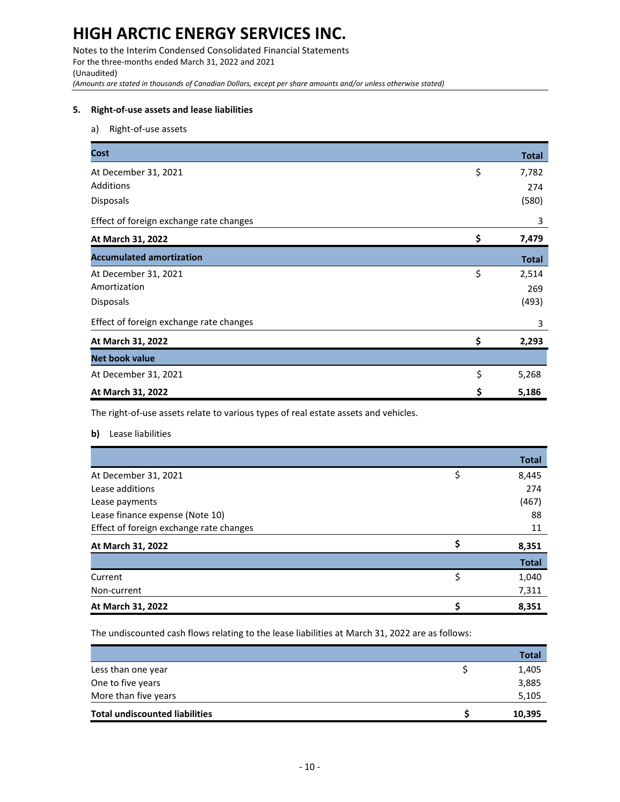Notes to the Interim Condensed Consolidated Financial Statements For the three-months ended March 31, 2022 and 2021 (Unaudited) *(Amounts are stated in thousands of Canadian Dollars, except per share amounts and/or unless otherwise stated)*

#### **5. Right-of-use assets and lease liabilities**

a) Right-of-use assets

| <b>Cost</b>                             | <b>Total</b> |
|-----------------------------------------|--------------|
| At December 31, 2021                    | \$<br>7,782  |
| <b>Additions</b>                        | 274          |
| Disposals                               | (580)        |
| Effect of foreign exchange rate changes | 3            |
| At March 31, 2022                       | \$<br>7,479  |
| <b>Accumulated amortization</b>         | <b>Total</b> |
| At December 31, 2021                    | \$<br>2,514  |
| Amortization                            | 269          |
| <b>Disposals</b>                        | (493)        |
| Effect of foreign exchange rate changes | 3            |
| At March 31, 2022                       | \$<br>2,293  |
| <b>Net book value</b>                   |              |
| At December 31, 2021                    | \$<br>5,268  |
| At March 31, 2022                       | \$<br>5,186  |

The right-of-use assets relate to various types of real estate assets and vehicles.

**b)** Lease liabilities

|                                         |    | <b>Total</b> |
|-----------------------------------------|----|--------------|
| At December 31, 2021                    | \$ | 8,445        |
| Lease additions                         |    | 274          |
| Lease payments                          |    | (467)        |
| Lease finance expense (Note 10)         |    | 88           |
| Effect of foreign exchange rate changes |    | 11           |
| At March 31, 2022                       | Ś  | 8,351        |
|                                         |    | <b>Total</b> |
| Current                                 | \$ | 1,040        |
| Non-current                             |    | 7,311        |
| At March 31, 2022                       |    | 8,351        |

The undiscounted cash flows relating to the lease liabilities at March 31, 2022 are as follows:

|                                       | Total  |
|---------------------------------------|--------|
| Less than one year                    | 1,405  |
| One to five years                     | 3,885  |
| More than five years                  | 5,105  |
| <b>Total undiscounted liabilities</b> | 10,395 |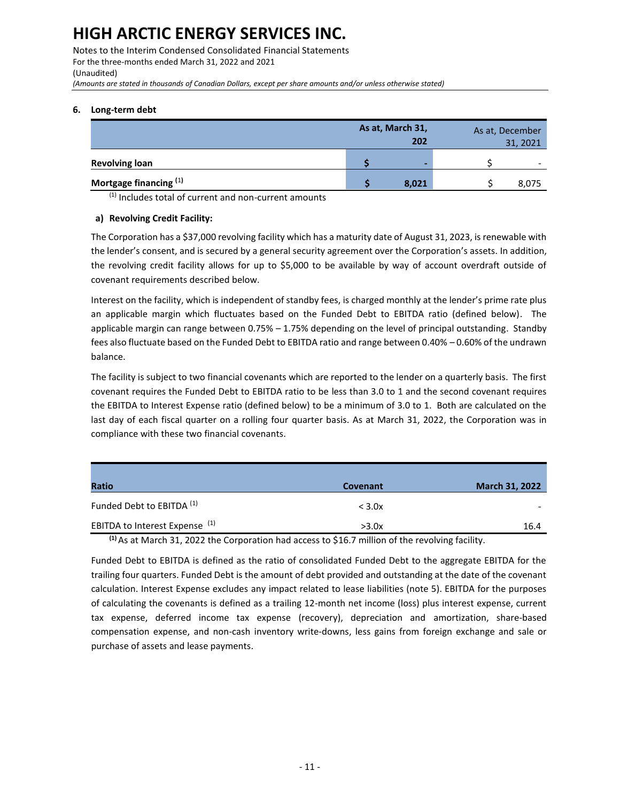Notes to the Interim Condensed Consolidated Financial Statements For the three-months ended March 31, 2022 and 2021 (Unaudited) *(Amounts are stated in thousands of Canadian Dollars, except per share amounts and/or unless otherwise stated)*

#### **6. Long-term debt**

|                                   | As at, March 31,<br>202 |       | As at, December<br>31, 2021 |  |
|-----------------------------------|-------------------------|-------|-----------------------------|--|
| <b>Revolving loan</b>             |                         |       | $\overline{\phantom{0}}$    |  |
| Mortgage financing <sup>(1)</sup> |                         | 8,021 | 8,075                       |  |

 $(1)$  Includes total of current and non-current amounts

#### **a) Revolving Credit Facility:**

The Corporation has a \$37,000 revolving facility which has a maturity date of August 31, 2023, is renewable with the lender's consent, and is secured by a general security agreement over the Corporation's assets. In addition, the revolving credit facility allows for up to \$5,000 to be available by way of account overdraft outside of covenant requirements described below.

Interest on the facility, which is independent of standby fees, is charged monthly at the lender's prime rate plus an applicable margin which fluctuates based on the Funded Debt to EBITDA ratio (defined below). The applicable margin can range between 0.75% – 1.75% depending on the level of principal outstanding. Standby fees also fluctuate based on the Funded Debt to EBITDA ratio and range between 0.40% – 0.60% of the undrawn balance.

The facility is subject to two financial covenants which are reported to the lender on a quarterly basis. The first covenant requires the Funded Debt to EBITDA ratio to be less than 3.0 to 1 and the second covenant requires the EBITDA to Interest Expense ratio (defined below) to be a minimum of 3.0 to 1. Both are calculated on the last day of each fiscal quarter on a rolling four quarter basis. As at March 31, 2022, the Corporation was in compliance with these two financial covenants.

| Ratio                                     | Covenant         | <b>March 31, 2022</b> |
|-------------------------------------------|------------------|-----------------------|
| Funded Debt to EBITDA <sup>(1)</sup>      | $<$ 3.0 $\times$ | -                     |
| EBITDA to Interest Expense <sup>(1)</sup> | >3.0x            | 16.4                  |

**(1)** As at March 31, 2022 the Corporation had access to \$16.7 million of the revolving facility.

Funded Debt to EBITDA is defined as the ratio of consolidated Funded Debt to the aggregate EBITDA for the trailing four quarters. Funded Debt is the amount of debt provided and outstanding at the date of the covenant calculation. Interest Expense excludes any impact related to lease liabilities (note 5). EBITDA for the purposes of calculating the covenants is defined as a trailing 12-month net income (loss) plus interest expense, current tax expense, deferred income tax expense (recovery), depreciation and amortization, share-based compensation expense, and non-cash inventory write-downs, less gains from foreign exchange and sale or purchase of assets and lease payments.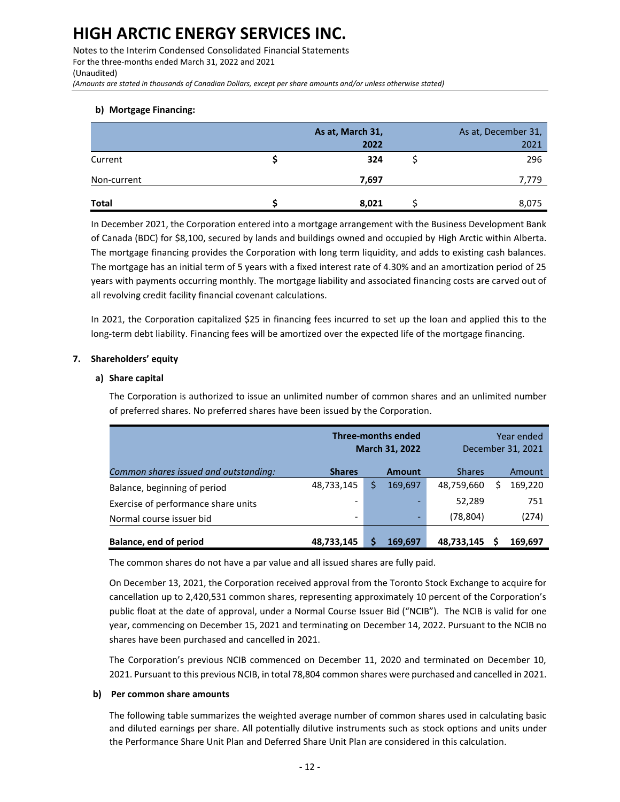Notes to the Interim Condensed Consolidated Financial Statements For the three-months ended March 31, 2022 and 2021 (Unaudited)

*(Amounts are stated in thousands of Canadian Dollars, except per share amounts and/or unless otherwise stated)*

#### **b) Mortgage Financing:**

|              | As at, March 31, | As at, December 31, |
|--------------|------------------|---------------------|
|              | 2022             | 2021                |
| Current      | 324              | 296                 |
| Non-current  | 7,697            | 7,779               |
| <b>Total</b> | 8,021            | 8,075               |

In December 2021, the Corporation entered into a mortgage arrangement with the Business Development Bank of Canada (BDC) for \$8,100, secured by lands and buildings owned and occupied by High Arctic within Alberta. The mortgage financing provides the Corporation with long term liquidity, and adds to existing cash balances. The mortgage has an initial term of 5 years with a fixed interest rate of 4.30% and an amortization period of 25 years with payments occurring monthly. The mortgage liability and associated financing costs are carved out of all revolving credit facility financial covenant calculations.

In 2021, the Corporation capitalized \$25 in financing fees incurred to set up the loan and applied this to the long-term debt liability. Financing fees will be amortized over the expected life of the mortgage financing.

#### **7. Shareholders' equity**

#### **a) Share capital**

The Corporation is authorized to issue an unlimited number of common shares and an unlimited number of preferred shares. No preferred shares have been issued by the Corporation.

|                                       | <b>Three-months ended</b><br><b>March 31, 2022</b> |  |               |               | Year ended<br>December 31, 2021 |
|---------------------------------------|----------------------------------------------------|--|---------------|---------------|---------------------------------|
| Common shares issued and outstanding: | <b>Shares</b>                                      |  | <b>Amount</b> | <b>Shares</b> | Amount                          |
| Balance, beginning of period          | 48,733,145                                         |  | 169,697       | 48,759,660    | 169,220                         |
| Exercise of performance share units   | -                                                  |  |               | 52,289        | 751                             |
| Normal course issuer bid              | $\qquad \qquad \blacksquare$                       |  | -             | (78, 804)     | (274)                           |
| <b>Balance, end of period</b>         | 48,733,145                                         |  | 169.697       | 48,733,145    | 169.697                         |

The common shares do not have a par value and all issued shares are fully paid.

On December 13, 2021, the Corporation received approval from the Toronto Stock Exchange to acquire for cancellation up to 2,420,531 common shares, representing approximately 10 percent of the Corporation's public float at the date of approval, under a Normal Course Issuer Bid ("NCIB"). The NCIB is valid for one year, commencing on December 15, 2021 and terminating on December 14, 2022. Pursuant to the NCIB no shares have been purchased and cancelled in 2021.

The Corporation's previous NCIB commenced on December 11, 2020 and terminated on December 10, 2021. Pursuant to this previous NCIB, in total 78,804 common shares were purchased and cancelled in 2021.

#### **b) Per common share amounts**

The following table summarizes the weighted average number of common shares used in calculating basic and diluted earnings per share. All potentially dilutive instruments such as stock options and units under the Performance Share Unit Plan and Deferred Share Unit Plan are considered in this calculation.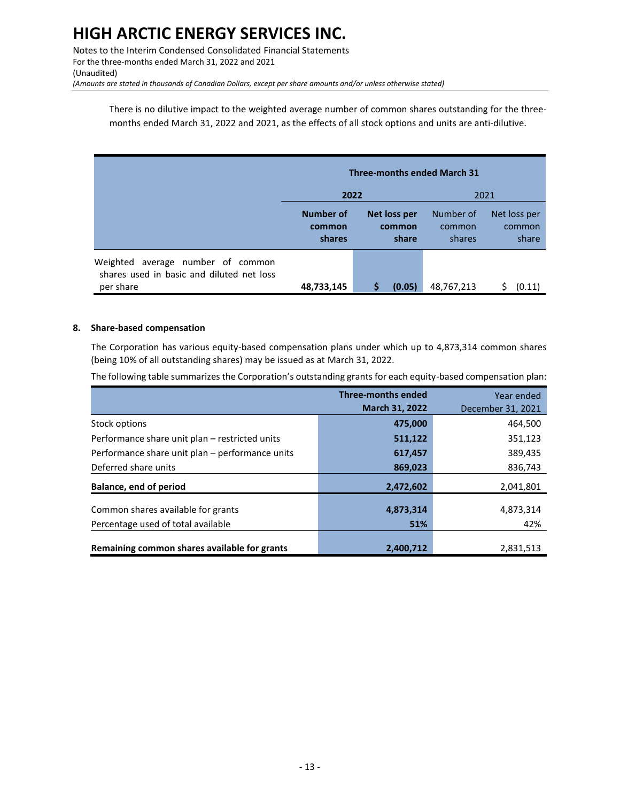Notes to the Interim Condensed Consolidated Financial Statements For the three-months ended March 31, 2022 and 2021 (Unaudited) *(Amounts are stated in thousands of Canadian Dollars, except per share amounts and/or unless otherwise stated)*

There is no dilutive impact to the weighted average number of common shares outstanding for the threemonths ended March 31, 2022 and 2021, as the effects of all stock options and units are anti-dilutive.

|                                                                                                | <b>Three-months ended March 31</b>   |                                 |                               |                                 |
|------------------------------------------------------------------------------------------------|--------------------------------------|---------------------------------|-------------------------------|---------------------------------|
|                                                                                                | 2022                                 |                                 |                               | 2021                            |
|                                                                                                | <b>Number of</b><br>common<br>shares | Net loss per<br>common<br>share | Number of<br>common<br>shares | Net loss per<br>common<br>share |
| average number of common<br>Weighted<br>shares used in basic and diluted net loss<br>per share | 48,733,145                           | (0.05)                          | 48,767,213                    | (0.11)                          |

#### **8. Share-based compensation**

The Corporation has various equity-based compensation plans under which up to 4,873,314 common shares (being 10% of all outstanding shares) may be issued as at March 31, 2022.

The following table summarizes the Corporation's outstanding grants for each equity-based compensation plan:

|                                                 | <b>Three-months ended</b> | Year ended        |
|-------------------------------------------------|---------------------------|-------------------|
|                                                 | <b>March 31, 2022</b>     | December 31, 2021 |
| Stock options                                   | 475,000                   | 464,500           |
| Performance share unit plan – restricted units  | 511,122                   | 351,123           |
| Performance share unit plan – performance units | 617,457                   | 389,435           |
| Deferred share units                            | 869,023                   | 836,743           |
| <b>Balance, end of period</b>                   | 2,472,602                 | 2,041,801         |
| Common shares available for grants              | 4,873,314                 | 4,873,314         |
| Percentage used of total available              | 51%                       | 42%               |
| Remaining common shares available for grants    | 2,400,712                 | 2,831,513         |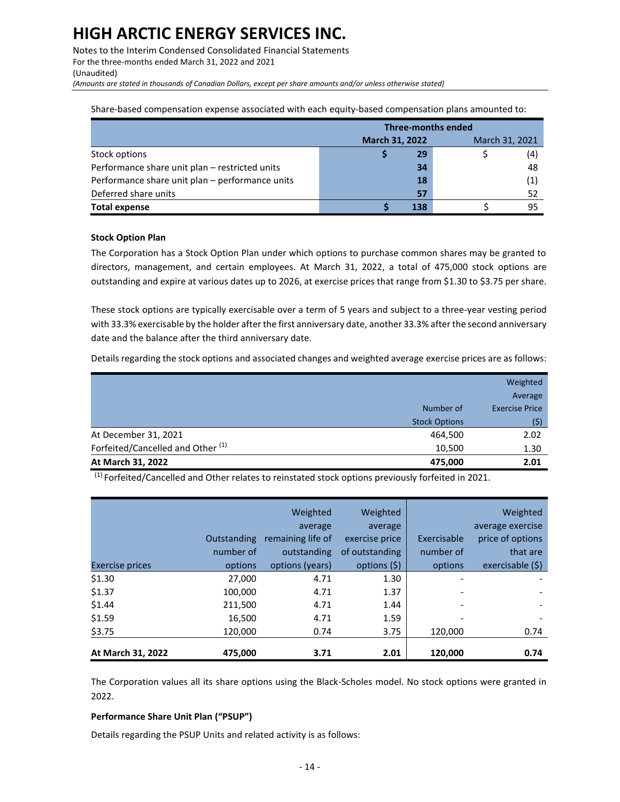Notes to the Interim Condensed Consolidated Financial Statements For the three-months ended March 31, 2022 and 2021 (Unaudited)

*(Amounts are stated in thousands of Canadian Dollars, except per share amounts and/or unless otherwise stated)*

Share-based compensation expense associated with each equity-based compensation plans amounted to:

|                                                 | <b>Three-months ended</b> |                |  |  |  |
|-------------------------------------------------|---------------------------|----------------|--|--|--|
|                                                 | March 31, 2022            | March 31, 2021 |  |  |  |
| Stock options                                   | 29                        | (4)            |  |  |  |
| Performance share unit plan - restricted units  | 34                        | 48             |  |  |  |
| Performance share unit plan - performance units | 18                        | (1)            |  |  |  |
| Deferred share units                            | 57                        | 52             |  |  |  |
| <b>Total expense</b>                            | 138                       | 95             |  |  |  |

#### **Stock Option Plan**

The Corporation has a Stock Option Plan under which options to purchase common shares may be granted to directors, management, and certain employees. At March 31, 2022, a total of 475,000 stock options are outstanding and expire at various dates up to 2026, at exercise prices that range from \$1.30 to \$3.75 per share.

These stock options are typically exercisable over a term of 5 years and subject to a three-year vesting period with 33.3% exercisable by the holder after the first anniversary date, another 33.3% after the second anniversary date and the balance after the third anniversary date.

Details regarding the stock options and associated changes and weighted average exercise prices are as follows:

|                                              |                      | Weighted              |
|----------------------------------------------|----------------------|-----------------------|
|                                              |                      | Average               |
|                                              | Number of            | <b>Exercise Price</b> |
|                                              | <b>Stock Options</b> | (\$)                  |
| At December 31, 2021                         | 464,500              | 2.02                  |
| Forfeited/Cancelled and Other <sup>(1)</sup> | 10,500               | 1.30                  |
| At March 31, 2022                            | 475,000              | 2.01                  |
| $\cdots$                                     |                      |                       |

<sup>(1)</sup> Forfeited/Cancelled and Other relates to reinstated stock options previously forfeited in 2021.

|                        |             | Weighted<br>average | Weighted<br>average |             | Weighted<br>average exercise |
|------------------------|-------------|---------------------|---------------------|-------------|------------------------------|
|                        | Outstanding | remaining life of   | exercise price      | Exercisable | price of options             |
|                        | number of   | outstanding         | of outstanding      | number of   | that are                     |
| <b>Exercise prices</b> | options     | options (years)     | options (\$)        | options     | exercisable (\$)             |
| \$1.30                 | 27,000      | 4.71                | 1.30                | ٠           |                              |
| \$1.37                 | 100,000     | 4.71                | 1.37                |             |                              |
| \$1.44                 | 211,500     | 4.71                | 1.44                | ٠           | $\overline{\phantom{a}}$     |
| \$1.59                 | 16,500      | 4.71                | 1.59                |             |                              |
| \$3.75                 | 120,000     | 0.74                | 3.75                | 120,000     | 0.74                         |
| At March 31, 2022      | 475,000     | 3.71                | 2.01                | 120,000     | 0.74                         |

The Corporation values all its share options using the Black-Scholes model. No stock options were granted in 2022.

#### **Performance Share Unit Plan ("PSUP")**

Details regarding the PSUP Units and related activity is as follows: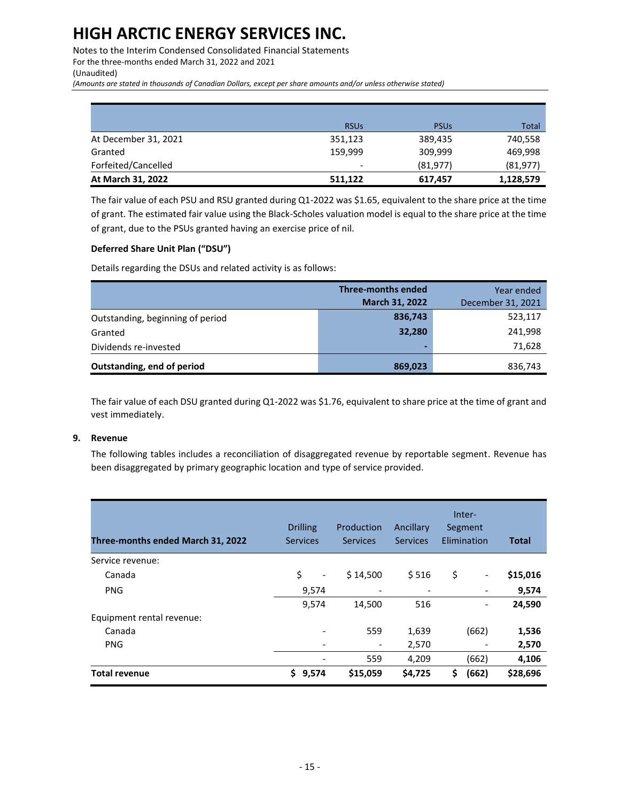Notes to the Interim Condensed Consolidated Financial Statements For the three-months ended March 31, 2022 and 2021 (Unaudited)

*(Amounts are stated in thousands of Canadian Dollars, except per share amounts and/or unless otherwise stated)*

|                      | <b>RSUs</b>              | <b>PSU<sub>s</sub></b> | Total     |
|----------------------|--------------------------|------------------------|-----------|
| At December 31, 2021 | 351,123                  | 389,435                | 740,558   |
| Granted              | 159,999                  | 309,999                | 469,998   |
| Forfeited/Cancelled  | $\overline{\phantom{a}}$ | (81, 977)              | (81, 977) |
| At March 31, 2022    | 511,122                  | 617,457                | 1,128,579 |

The fair value of each PSU and RSU granted during Q1-2022 was \$1.65, equivalent to the share price at the time of grant. The estimated fair value using the Black-Scholes valuation model is equal to the share price at the time of grant, due to the PSUs granted having an exercise price of nil.

#### **Deferred Share Unit Plan ("DSU")**

Details regarding the DSUs and related activity is as follows:

|                                  | <b>Three-months ended</b> | Year ended        |
|----------------------------------|---------------------------|-------------------|
|                                  | <b>March 31, 2022</b>     | December 31, 2021 |
| Outstanding, beginning of period | 836,743                   | 523,117           |
| Granted                          | 32,280                    | 241,998           |
| Dividends re-invested            | -                         | 71,628            |
| Outstanding, end of period       | 869,023                   | 836,743           |

The fair value of each DSU granted during Q1-2022 was \$1.76, equivalent to share price at the time of grant and vest immediately.

### **9. Revenue**

The following tables includes a reconciliation of disaggregated revenue by reportable segment. Revenue has been disaggregated by primary geographic location and type of service provided.

| Three-months ended March 31, 2022 | <b>Drilling</b><br><b>Services</b> | Production<br><b>Services</b> | Ancillary<br><b>Services</b> | Inter-<br>Segment<br>Elimination | <b>Total</b> |
|-----------------------------------|------------------------------------|-------------------------------|------------------------------|----------------------------------|--------------|
| Service revenue:                  |                                    |                               |                              |                                  |              |
| Canada                            | \$<br>$\overline{\phantom{a}}$     | \$14,500                      | \$516                        | \$<br>$\overline{\phantom{a}}$   | \$15,016     |
| <b>PNG</b>                        | 9,574                              | -                             | $\overline{\phantom{a}}$     |                                  | 9,574        |
|                                   | 9,574                              | 14,500                        | 516                          |                                  | 24,590       |
| Equipment rental revenue:         |                                    |                               |                              |                                  |              |
| Canada                            | $\overline{\phantom{a}}$           | 559                           | 1,639                        | (662)                            | 1,536        |
| <b>PNG</b>                        | $\overline{\phantom{a}}$           | $\overline{\phantom{a}}$      | 2,570                        |                                  | 2,570        |
|                                   |                                    | 559                           | 4,209                        | (662)                            | 4,106        |
| <b>Total revenue</b>              | \$.<br>9,574                       | \$15,059                      | \$4,725                      | Ś<br>(662)                       | \$28,696     |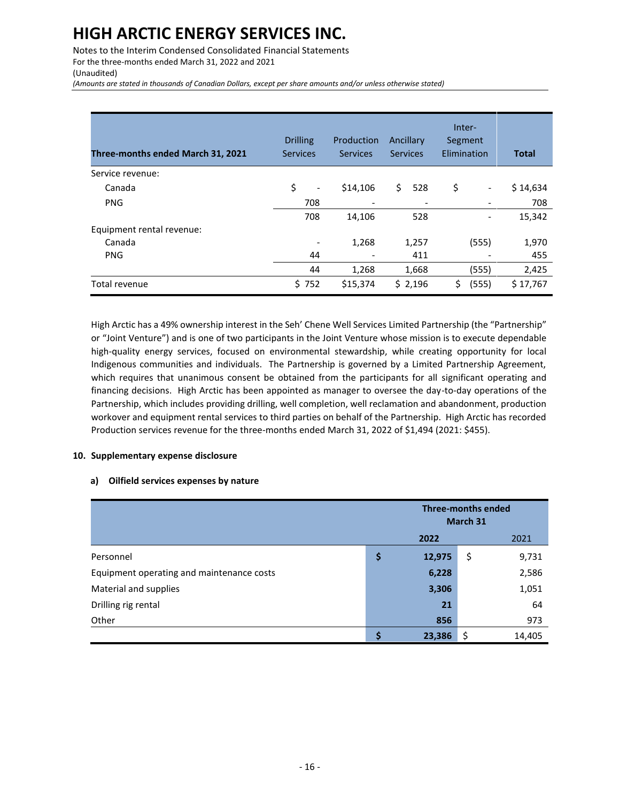Notes to the Interim Condensed Consolidated Financial Statements For the three-months ended March 31, 2022 and 2021 (Unaudited)

*(Amounts are stated in thousands of Canadian Dollars, except per share amounts and/or unless otherwise stated)*

| Three-months ended March 31, 2021 | <b>Drilling</b><br><b>Services</b> | Production<br><b>Services</b> | Ancillary<br><b>Services</b> | Inter-<br>Segment<br>Elimination | <b>Total</b> |
|-----------------------------------|------------------------------------|-------------------------------|------------------------------|----------------------------------|--------------|
| Service revenue:                  |                                    |                               |                              |                                  |              |
| Canada                            | \$<br>-                            | \$14,106                      | \$<br>528                    | \$<br>-                          | \$14,634     |
| <b>PNG</b>                        | 708                                |                               | $\overline{\phantom{a}}$     |                                  | 708          |
|                                   | 708                                | 14,106                        | 528                          | -                                | 15,342       |
| Equipment rental revenue:         |                                    |                               |                              |                                  |              |
| Canada                            |                                    | 1,268                         | 1,257                        | (555)                            | 1,970        |
| <b>PNG</b>                        | 44                                 |                               | 411                          |                                  | 455          |
|                                   | 44                                 | 1,268                         | 1,668                        | (555)                            | 2,425        |
| Total revenue                     | \$752                              | \$15,374                      | \$2,196                      | Ś<br>(555)                       | \$17,767     |

High Arctic has a 49% ownership interest in the Seh' Chene Well Services Limited Partnership (the "Partnership" or "Joint Venture") and is one of two participants in the Joint Venture whose mission is to execute dependable high-quality energy services, focused on environmental stewardship, while creating opportunity for local Indigenous communities and individuals. The Partnership is governed by a Limited Partnership Agreement, which requires that unanimous consent be obtained from the participants for all significant operating and financing decisions. High Arctic has been appointed as manager to oversee the day-to-day operations of the Partnership, which includes providing drilling, well completion, well reclamation and abandonment, production workover and equipment rental services to third parties on behalf of the Partnership. High Arctic has recorded Production services revenue for the three-months ended March 31, 2022 of \$1,494 (2021: \$455).

#### **10. Supplementary expense disclosure**

#### **a) Oilfield services expenses by nature**

|                                           | <b>Three-months ended</b><br>March 31 |        |    |        |
|-------------------------------------------|---------------------------------------|--------|----|--------|
|                                           | 2022                                  |        |    | 2021   |
| Personnel                                 | \$                                    | 12,975 | \$ | 9,731  |
| Equipment operating and maintenance costs |                                       | 6,228  |    | 2,586  |
| Material and supplies                     |                                       | 3,306  |    | 1,051  |
| Drilling rig rental                       |                                       | 21     |    | 64     |
| Other                                     |                                       | 856    |    | 973    |
|                                           | ¢                                     | 23,386 |    | 14,405 |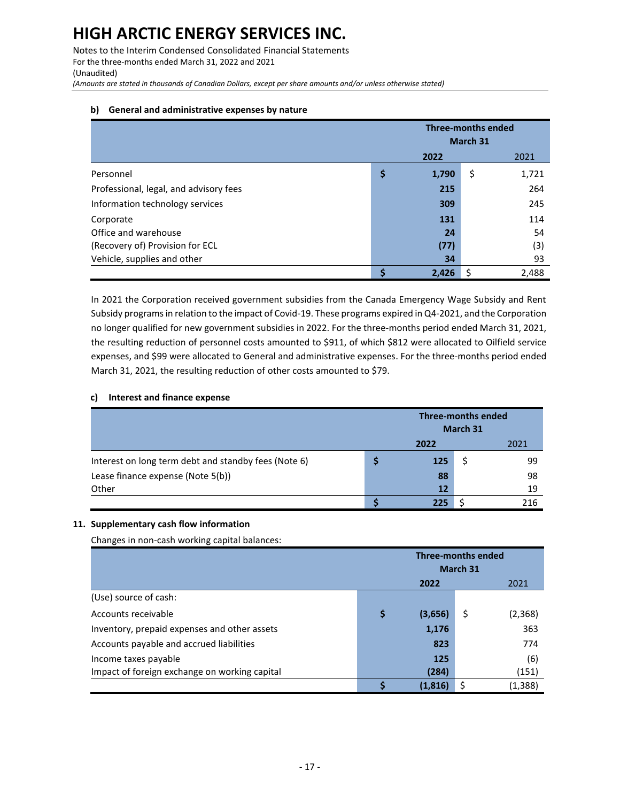Notes to the Interim Condensed Consolidated Financial Statements For the three-months ended March 31, 2022 and 2021 (Unaudited) *(Amounts are stated in thousands of Canadian Dollars, except per share amounts and/or unless otherwise stated)*

#### **b) General and administrative expenses by nature**

|                                        | <b>Three-months ended</b><br>March 31 |       |    |       |  |
|----------------------------------------|---------------------------------------|-------|----|-------|--|
|                                        |                                       | 2022  |    | 2021  |  |
| Personnel                              | \$                                    | 1,790 | \$ | 1,721 |  |
| Professional, legal, and advisory fees |                                       | 215   |    | 264   |  |
| Information technology services        |                                       | 309   |    | 245   |  |
| Corporate                              |                                       | 131   |    | 114   |  |
| Office and warehouse                   |                                       | 24    |    | 54    |  |
| (Recovery of) Provision for ECL        |                                       | (77)  |    | (3)   |  |
| Vehicle, supplies and other            |                                       | 34    |    | 93    |  |
|                                        |                                       | 2,426 | S  | 2.488 |  |

In 2021 the Corporation received government subsidies from the Canada Emergency Wage Subsidy and Rent Subsidy programs in relation to the impact of Covid-19. These programs expired in Q4-2021, and the Corporation no longer qualified for new government subsidies in 2022. For the three-months period ended March 31, 2021, the resulting reduction of personnel costs amounted to \$911, of which \$812 were allocated to Oilfield service expenses, and \$99 were allocated to General and administrative expenses. For the three-months period ended March 31, 2021, the resulting reduction of other costs amounted to \$79.

#### **c) Interest and finance expense**

|                                                      |      | <b>Three-months ended</b><br>March 31 |  |     |  |
|------------------------------------------------------|------|---------------------------------------|--|-----|--|
|                                                      | 2022 |                                       |  |     |  |
| Interest on long term debt and standby fees (Note 6) |      | 125                                   |  | 99  |  |
| Lease finance expense (Note 5(b))                    |      | 88                                    |  | 98  |  |
| Other                                                |      | 12                                    |  | 19  |  |
|                                                      |      | 225                                   |  | 216 |  |

#### **11. Supplementary cash flow information**

Changes in non-cash working capital balances:

|                                               | <b>Three-months ended</b><br>March 31 |         |    |         |  |
|-----------------------------------------------|---------------------------------------|---------|----|---------|--|
|                                               |                                       | 2022    |    | 2021    |  |
| (Use) source of cash:                         |                                       |         |    |         |  |
| Accounts receivable                           | \$                                    | (3,656) | \$ | (2,368) |  |
| Inventory, prepaid expenses and other assets  |                                       | 1,176   |    | 363     |  |
| Accounts payable and accrued liabilities      |                                       | 823     |    | 774     |  |
| Income taxes payable                          |                                       | 125     |    | (6)     |  |
| Impact of foreign exchange on working capital |                                       | (284)   |    | (151)   |  |
|                                               |                                       | (1.816) |    | (1,388) |  |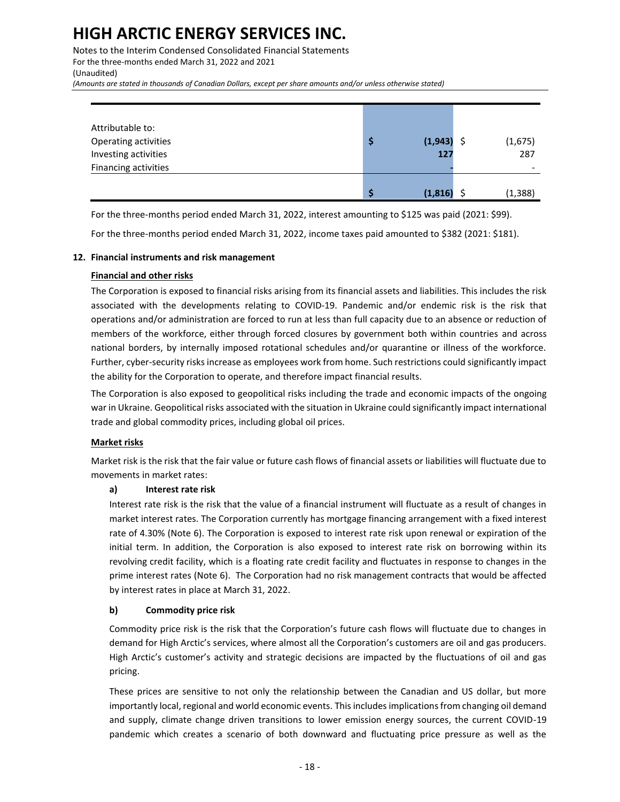Notes to the Interim Condensed Consolidated Financial Statements For the three-months ended March 31, 2022 and 2021 (Unaudited) *(Amounts are stated in thousands of Canadian Dollars, except per share amounts and/or unless otherwise stated)*

| Attributable to:<br>Operating activities<br>Investing activities | Ş  | (1,943)<br>127 | (1,675)<br>287 |
|------------------------------------------------------------------|----|----------------|----------------|
| Financing activities                                             |    |                |                |
|                                                                  | -S | (1,816)        | (1, 388)       |

For the three-months period ended March 31, 2022, interest amounting to \$125 was paid (2021: \$99).

For the three-months period ended March 31, 2022, income taxes paid amounted to \$382 (2021: \$181).

#### **12. Financial instruments and risk management**

#### **Financial and other risks**

The Corporation is exposed to financial risks arising from its financial assets and liabilities. This includes the risk associated with the developments relating to COVID-19. Pandemic and/or endemic risk is the risk that operations and/or administration are forced to run at less than full capacity due to an absence or reduction of members of the workforce, either through forced closures by government both within countries and across national borders, by internally imposed rotational schedules and/or quarantine or illness of the workforce. Further, cyber-security risks increase as employees work from home. Such restrictions could significantly impact the ability for the Corporation to operate, and therefore impact financial results.

The Corporation is also exposed to geopolitical risks including the trade and economic impacts of the ongoing war in Ukraine. Geopolitical risks associated with the situation in Ukraine could significantly impact international trade and global commodity prices, including global oil prices.

#### **Market risks**

Market risk is the risk that the fair value or future cash flows of financial assets or liabilities will fluctuate due to movements in market rates:

#### **a) Interest rate risk**

Interest rate risk is the risk that the value of a financial instrument will fluctuate as a result of changes in market interest rates. The Corporation currently has mortgage financing arrangement with a fixed interest rate of 4.30% (Note 6). The Corporation is exposed to interest rate risk upon renewal or expiration of the initial term. In addition, the Corporation is also exposed to interest rate risk on borrowing within its revolving credit facility, which is a floating rate credit facility and fluctuates in response to changes in the prime interest rates (Note 6). The Corporation had no risk management contracts that would be affected by interest rates in place at March 31, 2022.

#### **b) Commodity price risk**

Commodity price risk is the risk that the Corporation's future cash flows will fluctuate due to changes in demand for High Arctic's services, where almost all the Corporation's customers are oil and gas producers. High Arctic's customer's activity and strategic decisions are impacted by the fluctuations of oil and gas pricing.

These prices are sensitive to not only the relationship between the Canadian and US dollar, but more importantly local, regional and world economic events. This includes implications from changing oil demand and supply, climate change driven transitions to lower emission energy sources, the current COVID-19 pandemic which creates a scenario of both downward and fluctuating price pressure as well as the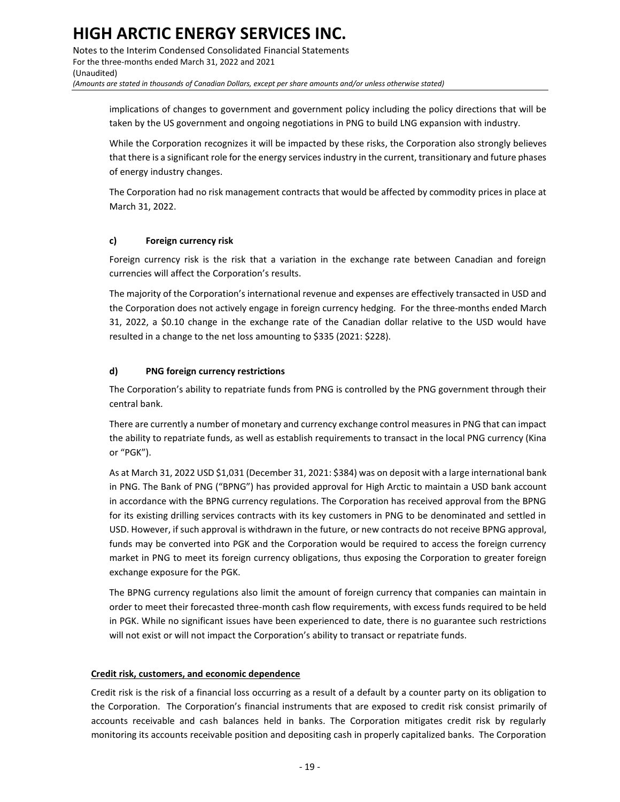Notes to the Interim Condensed Consolidated Financial Statements For the three-months ended March 31, 2022 and 2021 (Unaudited) *(Amounts are stated in thousands of Canadian Dollars, except per share amounts and/or unless otherwise stated)*

implications of changes to government and government policy including the policy directions that will be taken by the US government and ongoing negotiations in PNG to build LNG expansion with industry.

While the Corporation recognizes it will be impacted by these risks, the Corporation also strongly believes that there is a significant role for the energy services industry in the current, transitionary and future phases of energy industry changes.

The Corporation had no risk management contracts that would be affected by commodity prices in place at March 31, 2022.

### **c) Foreign currency risk**

Foreign currency risk is the risk that a variation in the exchange rate between Canadian and foreign currencies will affect the Corporation's results.

The majority of the Corporation's international revenue and expenses are effectively transacted in USD and the Corporation does not actively engage in foreign currency hedging. For the three-months ended March 31, 2022, a \$0.10 change in the exchange rate of the Canadian dollar relative to the USD would have resulted in a change to the net loss amounting to \$335 (2021: \$228).

#### **d) PNG foreign currency restrictions**

The Corporation's ability to repatriate funds from PNG is controlled by the PNG government through their central bank.

There are currently a number of monetary and currency exchange control measures in PNG that can impact the ability to repatriate funds, as well as establish requirements to transact in the local PNG currency (Kina or "PGK").

As at March 31, 2022 USD \$1,031 (December 31, 2021: \$384) was on deposit with a large international bank in PNG. The Bank of PNG ("BPNG") has provided approval for High Arctic to maintain a USD bank account in accordance with the BPNG currency regulations. The Corporation has received approval from the BPNG for its existing drilling services contracts with its key customers in PNG to be denominated and settled in USD. However, if such approval is withdrawn in the future, or new contracts do not receive BPNG approval, funds may be converted into PGK and the Corporation would be required to access the foreign currency market in PNG to meet its foreign currency obligations, thus exposing the Corporation to greater foreign exchange exposure for the PGK.

The BPNG currency regulations also limit the amount of foreign currency that companies can maintain in order to meet their forecasted three-month cash flow requirements, with excess funds required to be held in PGK. While no significant issues have been experienced to date, there is no guarantee such restrictions will not exist or will not impact the Corporation's ability to transact or repatriate funds.

#### **Credit risk, customers, and economic dependence**

Credit risk is the risk of a financial loss occurring as a result of a default by a counter party on its obligation to the Corporation. The Corporation's financial instruments that are exposed to credit risk consist primarily of accounts receivable and cash balances held in banks. The Corporation mitigates credit risk by regularly monitoring its accounts receivable position and depositing cash in properly capitalized banks. The Corporation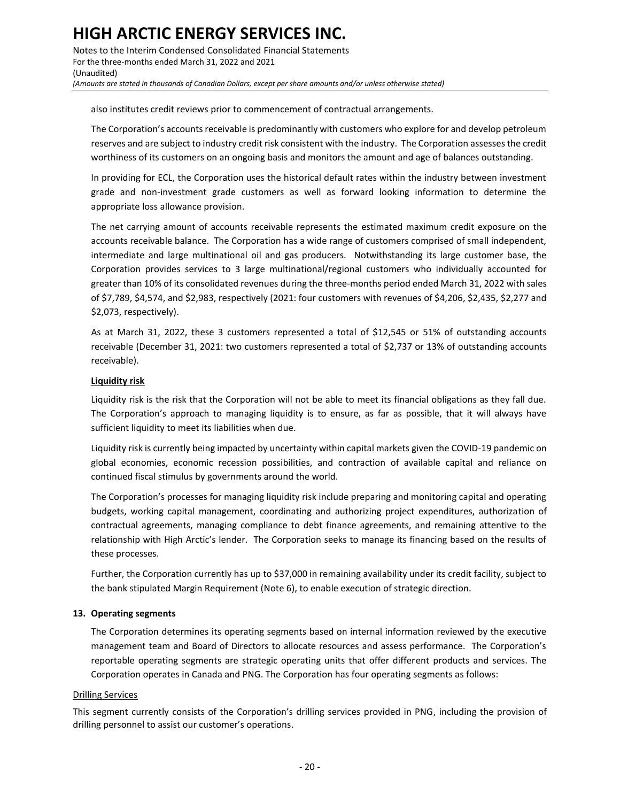Notes to the Interim Condensed Consolidated Financial Statements For the three-months ended March 31, 2022 and 2021 (Unaudited) *(Amounts are stated in thousands of Canadian Dollars, except per share amounts and/or unless otherwise stated)*

also institutes credit reviews prior to commencement of contractual arrangements.

The Corporation's accounts receivable is predominantly with customers who explore for and develop petroleum reserves and are subject to industry credit risk consistent with the industry. The Corporation assesses the credit worthiness of its customers on an ongoing basis and monitors the amount and age of balances outstanding.

In providing for ECL, the Corporation uses the historical default rates within the industry between investment grade and non-investment grade customers as well as forward looking information to determine the appropriate loss allowance provision.

The net carrying amount of accounts receivable represents the estimated maximum credit exposure on the accounts receivable balance. The Corporation has a wide range of customers comprised of small independent, intermediate and large multinational oil and gas producers. Notwithstanding its large customer base, the Corporation provides services to 3 large multinational/regional customers who individually accounted for greater than 10% of its consolidated revenues during the three-months period ended March 31, 2022 with sales of \$7,789, \$4,574, and \$2,983, respectively (2021: four customers with revenues of \$4,206, \$2,435, \$2,277 and \$2,073, respectively).

As at March 31, 2022, these 3 customers represented a total of \$12,545 or 51% of outstanding accounts receivable (December 31, 2021: two customers represented a total of \$2,737 or 13% of outstanding accounts receivable).

#### **Liquidity risk**

Liquidity risk is the risk that the Corporation will not be able to meet its financial obligations as they fall due. The Corporation's approach to managing liquidity is to ensure, as far as possible, that it will always have sufficient liquidity to meet its liabilities when due.

Liquidity risk is currently being impacted by uncertainty within capital markets given the COVID-19 pandemic on global economies, economic recession possibilities, and contraction of available capital and reliance on continued fiscal stimulus by governments around the world.

The Corporation's processes for managing liquidity risk include preparing and monitoring capital and operating budgets, working capital management, coordinating and authorizing project expenditures, authorization of contractual agreements, managing compliance to debt finance agreements, and remaining attentive to the relationship with High Arctic's lender. The Corporation seeks to manage its financing based on the results of these processes.

Further, the Corporation currently has up to \$37,000 in remaining availability under its credit facility, subject to the bank stipulated Margin Requirement (Note 6), to enable execution of strategic direction.

#### **13. Operating segments**

The Corporation determines its operating segments based on internal information reviewed by the executive management team and Board of Directors to allocate resources and assess performance. The Corporation's reportable operating segments are strategic operating units that offer different products and services. The Corporation operates in Canada and PNG. The Corporation has four operating segments as follows:

#### Drilling Services

This segment currently consists of the Corporation's drilling services provided in PNG, including the provision of drilling personnel to assist our customer's operations.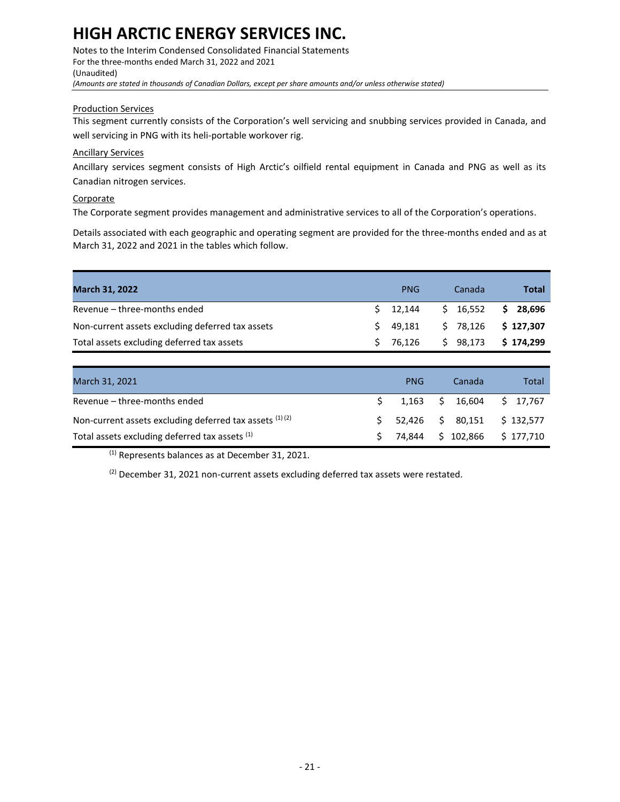Notes to the Interim Condensed Consolidated Financial Statements For the three-months ended March 31, 2022 and 2021 (Unaudited) *(Amounts are stated in thousands of Canadian Dollars, except per share amounts and/or unless otherwise stated)*

#### Production Services

This segment currently consists of the Corporation's well servicing and snubbing services provided in Canada, and well servicing in PNG with its heli-portable workover rig.

#### Ancillary Services

Ancillary services segment consists of High Arctic's oilfield rental equipment in Canada and PNG as well as its Canadian nitrogen services.

#### **Corporate**

The Corporate segment provides management and administrative services to all of the Corporation's operations.

Details associated with each geographic and operating segment are provided for the three-months ended and as at March 31, 2022 and 2021 in the tables which follow.

| <b>March 31, 2022</b>                            | <b>PNG</b> | Canada   | Total     |
|--------------------------------------------------|------------|----------|-----------|
| Revenue – three-months ended                     | $5$ 12.144 | \$16,552 | \$28.696  |
| Non-current assets excluding deferred tax assets | $5$ 49.181 | \$78,126 | \$127,307 |
| Total assets excluding deferred tax assets       | S 76.126   | \$98,173 | \$174,299 |

| March 31, 2021                                            | <b>PNG</b> | Canada                                                        | Total |
|-----------------------------------------------------------|------------|---------------------------------------------------------------|-------|
| Revenue - three-months ended                              |            | $\frac{1}{2}$ 1,163 $\frac{1}{2}$ 16,604 $\frac{1}{2}$ 17,767 |       |
| Non-current assets excluding deferred tax assets $(1)(2)$ |            | $$52,426$ $$80,151$ $$132,577$                                |       |
| Total assets excluding deferred tax assets (1)            |            | $$74,844$ $$102,866$ $$177,710$                               |       |

(1) Represents balances as at December 31, 2021.

 $(2)$  December 31, 2021 non-current assets excluding deferred tax assets were restated.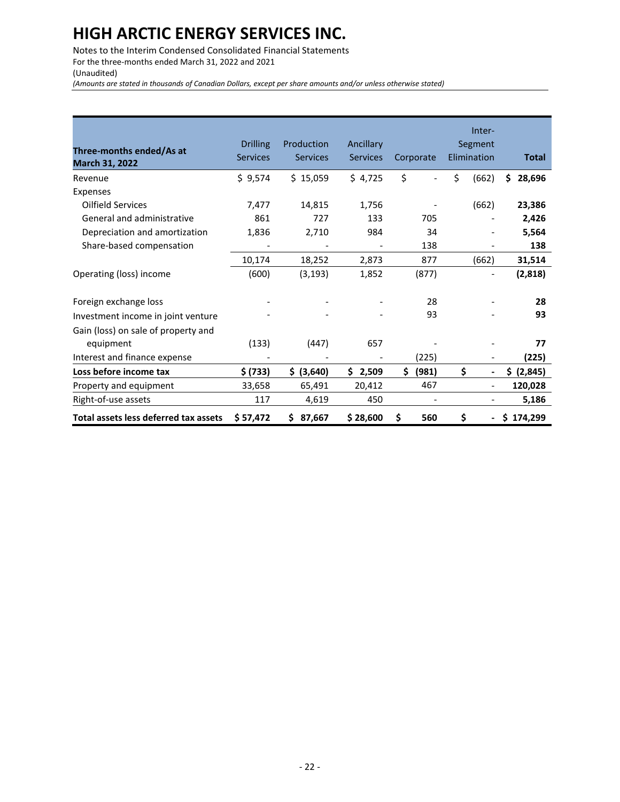Notes to the Interim Condensed Consolidated Financial Statements For the three-months ended March 31, 2022 and 2021 (Unaudited)

*(Amounts are stated in thousands of Canadian Dollars, except per share amounts and/or unless otherwise stated)*

| Three-months ended/As at<br>March 31, 2022 | <b>Drilling</b><br><b>Services</b> | Production<br><b>Services</b> | Ancillary<br><b>Services</b> | Corporate                | Inter-<br>Segment<br>Elimination   | <b>Total</b> |
|--------------------------------------------|------------------------------------|-------------------------------|------------------------------|--------------------------|------------------------------------|--------------|
| Revenue                                    | \$9,574                            | \$15,059                      | \$4,725                      | \$                       | \$<br>(662)                        | Ś<br>28,696  |
| Expenses                                   |                                    |                               |                              |                          |                                    |              |
| <b>Oilfield Services</b>                   | 7,477                              | 14,815                        | 1,756                        |                          | (662)                              | 23,386       |
| General and administrative                 | 861                                | 727                           | 133                          | 705                      |                                    | 2,426        |
| Depreciation and amortization              | 1,836                              | 2,710                         | 984                          | 34                       |                                    | 5,564        |
| Share-based compensation                   |                                    |                               |                              | 138                      | $\qquad \qquad \blacksquare$       | 138          |
|                                            | 10,174                             | 18,252                        | 2,873                        | 877                      | (662)                              | 31,514       |
| Operating (loss) income                    | (600)                              | (3, 193)                      | 1,852                        | (877)                    | $\overline{\phantom{a}}$           | (2,818)      |
| Foreign exchange loss                      |                                    |                               |                              | 28                       |                                    | 28           |
| Investment income in joint venture         |                                    |                               |                              | 93                       |                                    | 93           |
| Gain (loss) on sale of property and        |                                    |                               |                              |                          |                                    |              |
| equipment                                  | (133)                              | (447)                         | 657                          |                          |                                    | 77           |
| Interest and finance expense               |                                    |                               |                              | (225)                    |                                    | (225)        |
| Loss before income tax                     | \$ (733)                           | \$ (3,640)                    | \$2,509                      | \$<br>(981)              | \$<br>$\overline{\phantom{a}}$     | \$ (2,845)   |
| Property and equipment                     | 33,658                             | 65,491                        | 20,412                       | 467                      | $\qquad \qquad \blacksquare$       | 120,028      |
| Right-of-use assets                        | 117                                | 4,619                         | 450                          | $\overline{\phantom{a}}$ | $\qquad \qquad \blacksquare$       | 5,186        |
| Total assets less deferred tax assets      | \$ 57,472                          | 87,667<br>\$                  | \$28,600                     | \$<br>560                | \$<br>$\qquad \qquad \blacksquare$ | 174,299<br>Ŝ |